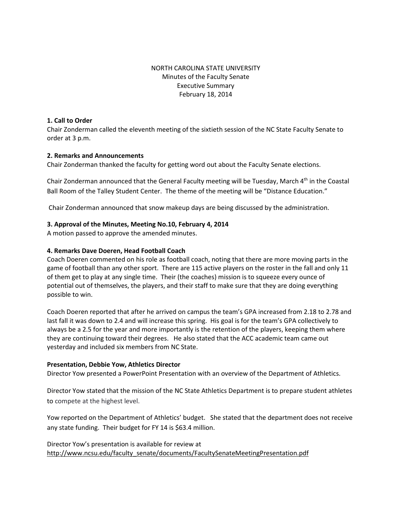# NORTH CAROLINA STATE UNIVERSITY Minutes of the Faculty Senate Executive Summary February 18, 2014

### **1. Call to Order**

Chair Zonderman called the eleventh meeting of the sixtieth session of the NC State Faculty Senate to order at 3 p.m.

## **2. Remarks and Announcements**

Chair Zonderman thanked the faculty for getting word out about the Faculty Senate elections.

Chair Zonderman announced that the General Faculty meeting will be Tuesday, March 4th in the Coastal Ball Room of the Talley Student Center. The theme of the meeting will be "Distance Education."

Chair Zonderman announced that snow makeup days are being discussed by the administration.

## **3. Approval of the Minutes, Meeting No.10, February 4, 2014**

A motion passed to approve the amended minutes.

#### **4. Remarks Dave Doeren, Head Football Coach**

Coach Doeren commented on his role as football coach, noting that there are more moving parts in the game of football than any other sport. There are 115 active players on the roster in the fall and only 11 of them get to play at any single time. Their (the coaches) mission is to squeeze every ounce of potential out of themselves, the players, and their staff to make sure that they are doing everything possible to win.

Coach Doeren reported that after he arrived on campus the team's GPA increased from 2.18 to 2.78 and last fall it was down to 2.4 and will increase this spring. His goal is for the team's GPA collectively to always be a 2.5 for the year and more importantly is the retention of the players, keeping them where they are continuing toward their degrees. He also stated that the ACC academic team came out yesterday and included six members from NC State.

#### **Presentation, Debbie Yow, Athletics Director**

Director Yow presented a PowerPoint Presentation with an overview of the Department of Athletics.

Director Yow stated that the mission of the NC State Athletics Department is to prepare student athletes to compete at the highest level.

Yow reported on the Department of Athletics' budget. She stated that the department does not receive any state funding. Their budget for FY 14 is \$63.4 million.

Director Yow's presentation is available for review at [http://www.ncsu.edu/faculty\\_senate/documents/FacultySenateMeetingPresentation.pdf](http://www.ncsu.edu/faculty_senate/documents/FacultySenateMeetingPresentation.pdf)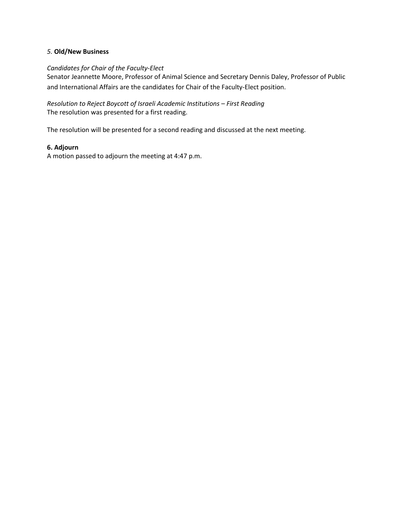## *5.* **Old/New Business**

## *Candidates for Chair of the Faculty-Elect*

Senator Jeannette Moore, Professor of Animal Science and Secretary Dennis Daley, Professor of Public and International Affairs are the candidates for Chair of the Faculty-Elect position.

# *Resolution to Reject Boycott of Israeli Academic Institutions – First Reading* The resolution was presented for a first reading.

The resolution will be presented for a second reading and discussed at the next meeting.

# **6. Adjourn**

A motion passed to adjourn the meeting at 4:47 p.m.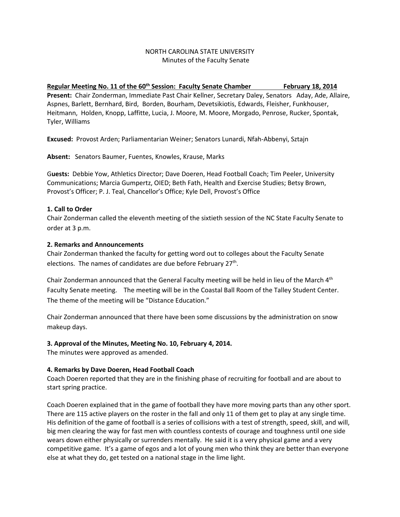## NORTH CAROLINA STATE UNIVERSITY Minutes of the Faculty Senate

# Regular Meeting No. 11 of the 60<sup>th</sup> Session: Faculty Senate Chamber February 18, 2014

**Present:** Chair Zonderman, Immediate Past Chair Kellner, Secretary Daley, Senators Aday, Ade, Allaire, Aspnes, Barlett, Bernhard, Bird, Borden, Bourham, Devetsikiotis, Edwards, Fleisher, Funkhouser, Heitmann, Holden, Knopp, Laffitte, Lucia, J. Moore, M. Moore, Morgado, Penrose, Rucker, Spontak, Tyler, Williams

**Excused:** Provost Arden; Parliamentarian Weiner; Senators Lunardi, Nfah-Abbenyi, Sztajn

**Absent:** Senators Baumer, Fuentes, Knowles, Krause, Marks

G**uests:** Debbie Yow, Athletics Director; Dave Doeren, Head Football Coach; Tim Peeler, University Communications; Marcia Gumpertz, OIED; Beth Fath, Health and Exercise Studies; Betsy Brown, Provost's Officer; P. J. Teal, Chancellor's Office; Kyle Dell, Provost's Office

# **1. Call to Order**

Chair Zonderman called the eleventh meeting of the sixtieth session of the NC State Faculty Senate to order at 3 p.m.

# **2. Remarks and Announcements**

Chair Zonderman thanked the faculty for getting word out to colleges about the Faculty Senate elections. The names of candidates are due before February 27<sup>th</sup>.

Chair Zonderman announced that the General Faculty meeting will be held in lieu of the March 4<sup>th</sup> Faculty Senate meeting. The meeting will be in the Coastal Ball Room of the Talley Student Center. The theme of the meeting will be "Distance Education."

Chair Zonderman announced that there have been some discussions by the administration on snow makeup days.

# **3. Approval of the Minutes, Meeting No. 10, February 4, 2014.**

The minutes were approved as amended.

# **4. Remarks by Dave Doeren, Head Football Coach**

Coach Doeren reported that they are in the finishing phase of recruiting for football and are about to start spring practice.

Coach Doeren explained that in the game of football they have more moving parts than any other sport. There are 115 active players on the roster in the fall and only 11 of them get to play at any single time. His definition of the game of football is a series of collisions with a test of strength, speed, skill, and will, big men clearing the way for fast men with countless contests of courage and toughness until one side wears down either physically or surrenders mentally. He said it is a very physical game and a very competitive game. It's a game of egos and a lot of young men who think they are better than everyone else at what they do, get tested on a national stage in the lime light.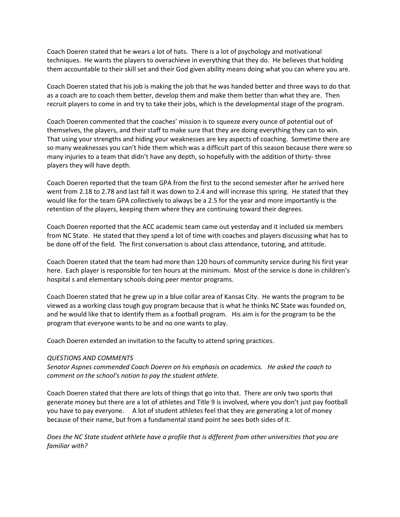Coach Doeren stated that he wears a lot of hats. There is a lot of psychology and motivational techniques. He wants the players to overachieve in everything that they do. He believes that holding them accountable to their skill set and their God given ability means doing what you can where you are.

Coach Doeren stated that his job is making the job that he was handed better and three ways to do that as a coach are to coach them better, develop them and make them better than what they are. Then recruit players to come in and try to take their jobs, which is the developmental stage of the program.

Coach Doeren commented that the coaches' mission is to squeeze every ounce of potential out of themselves, the players, and their staff to make sure that they are doing everything they can to win. That using your strengths and hiding your weaknesses are key aspects of coaching. Sometime there are so many weaknesses you can't hide them which was a difficult part of this season because there were so many injuries to a team that didn't have any depth, so hopefully with the addition of thirty- three players they will have depth.

Coach Doeren reported that the team GPA from the first to the second semester after he arrived here went from 2.18 to 2.78 and last fall it was down to 2.4 and will increase this spring. He stated that they would like for the team GPA collectively to always be a 2.5 for the year and more importantly is the retention of the players, keeping them where they are continuing toward their degrees.

Coach Doeren reported that the ACC academic team came out yesterday and it included six members from NC State. He stated that they spend a lot of time with coaches and players discussing what has to be done off of the field. The first conversation is about class attendance, tutoring, and attitude.

Coach Doeren stated that the team had more than 120 hours of community service during his first year here. Each player is responsible for ten hours at the minimum. Most of the service is done in children's hospital s and elementary schools doing peer mentor programs.

Coach Doeren stated that he grew up in a blue collar area of Kansas City. He wants the program to be viewed as a working class tough guy program because that is what he thinks NC State was founded on, and he would like that to identify them as a football program. His aim is for the program to be the program that everyone wants to be and no one wants to play.

Coach Doeren extended an invitation to the faculty to attend spring practices.

#### *QUESTIONS AND COMMENTS*

*Senator Aspnes commended Coach Doeren on his emphasis on academics. He asked the coach to comment on the school's notion to pay the student athlete.*

Coach Doeren stated that there are lots of things that go into that. There are only two sports that generate money but there are a lot of athletes and Title 9 is involved, where you don't just pay football you have to pay everyone. A lot of student athletes feel that they are generating a lot of money because of their name, but from a fundamental stand point he sees both sides of it.

*Does the NC State student athlete have a profile that is different from other universities that you are familiar with?*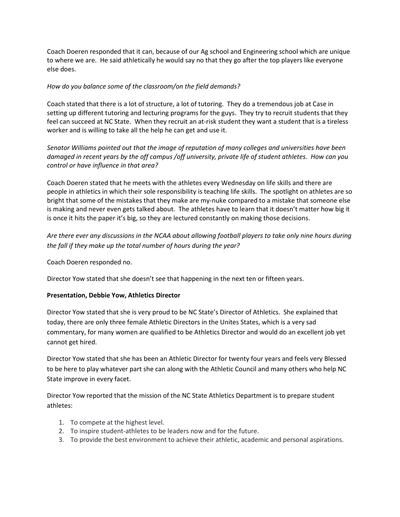Coach Doeren responded that it can, because of our Ag school and Engineering school which are unique to where we are. He said athletically he would say no that they go after the top players like everyone else does.

# *How do you balance some of the classroom/on the field demands?*

Coach stated that there is a lot of structure, a lot of tutoring. They do a tremendous job at Case in setting up different tutoring and lecturing programs for the guys. They try to recruit students that they feel can succeed at NC State. When they recruit an at-risk student they want a student that is a tireless worker and is willing to take all the help he can get and use it.

*Senator Williams pointed out that the image of reputation of many colleges and universities have been damaged in recent years by the off campus /off university, private life of student athletes. How can you control or have influence in that area?*

Coach Doeren stated that he meets with the athletes every Wednesday on life skills and there are people in athletics in which their sole responsibility is teaching life skills. The spotlight on athletes are so bright that some of the mistakes that they make are my-nuke compared to a mistake that someone else is making and never even gets talked about. The athletes have to learn that it doesn't matter how big it is once it hits the paper it's big, so they are lectured constantly on making those decisions.

*Are there ever any discussions in the NCAA about allowing football players to take only nine hours during the fall if they make up the total number of hours during the year?*

Coach Doeren responded no.

Director Yow stated that she doesn't see that happening in the next ten or fifteen years.

## **Presentation, Debbie Yow, Athletics Director**

Director Yow stated that she is very proud to be NC State's Director of Athletics. She explained that today, there are only three female Athletic Directors in the Unites States, which is a very sad commentary, for many women are qualified to be Athletics Director and would do an excellent job yet cannot get hired.

Director Yow stated that she has been an Athletic Director for twenty four years and feels very Blessed to be here to play whatever part she can along with the Athletic Council and many others who help NC State improve in every facet.

Director Yow reported that the mission of the NC State Athletics Department is to prepare student athletes:

- 1. To compete at the highest level.
- 2. To inspire student-athletes to be leaders now and for the future.
- 3. To provide the best environment to achieve their athletic, academic and personal aspirations.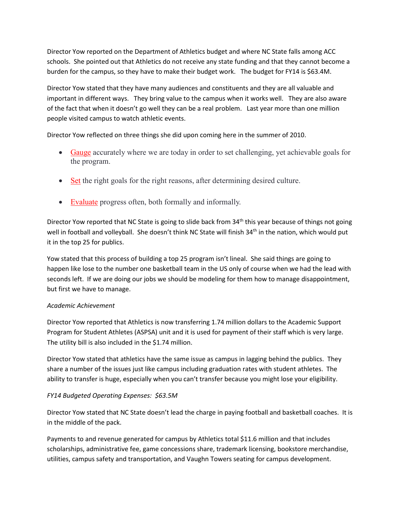Director Yow reported on the Department of Athletics budget and where NC State falls among ACC schools. She pointed out that Athletics do not receive any state funding and that they cannot become a burden for the campus, so they have to make their budget work. The budget for FY14 is \$63.4M.

Director Yow stated that they have many audiences and constituents and they are all valuable and important in different ways. They bring value to the campus when it works well. They are also aware of the fact that when it doesn't go well they can be a real problem. Last year more than one million people visited campus to watch athletic events.

Director Yow reflected on three things she did upon coming here in the summer of 2010.

- Gauge accurately where we are today in order to set challenging, yet achievable goals for the program.
- Set the right goals for the right reasons, after determining desired culture.
- Evaluate progress often, both formally and informally.

Director Yow reported that NC State is going to slide back from 34<sup>th</sup> this year because of things not going well in football and volleyball. She doesn't think NC State will finish 34<sup>th</sup> in the nation, which would put it in the top 25 for publics.

Yow stated that this process of building a top 25 program isn't lineal. She said things are going to happen like lose to the number one basketball team in the US only of course when we had the lead with seconds left. If we are doing our jobs we should be modeling for them how to manage disappointment, but first we have to manage.

# *Academic Achievement*

Director Yow reported that Athletics is now transferring 1.74 million dollars to the Academic Support Program for Student Athletes (ASPSA) unit and it is used for payment of their staff which is very large. The utility bill is also included in the \$1.74 million.

Director Yow stated that athletics have the same issue as campus in lagging behind the publics. They share a number of the issues just like campus including graduation rates with student athletes. The ability to transfer is huge, especially when you can't transfer because you might lose your eligibility.

# *FY14 Budgeted Operating Expenses: \$63.5M*

Director Yow stated that NC State doesn't lead the charge in paying football and basketball coaches. It is in the middle of the pack.

Payments to and revenue generated for campus by Athletics total \$11.6 million and that includes scholarships, administrative fee, game concessions share, trademark licensing, bookstore merchandise, utilities, campus safety and transportation, and Vaughn Towers seating for campus development.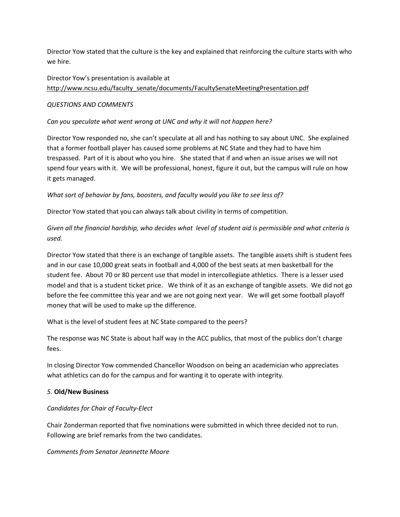Director Yow stated that the culture is the key and explained that reinforcing the culture starts with who we hire.

# Director Yow's presentation is available at [http://www.ncsu.edu/faculty\\_senate/documents/FacultySenateMeetingPresentation.pdf](http://www.ncsu.edu/faculty_senate/documents/FacultySenateMeetingPresentation.pdf)

## *QUESTIONS AND COMMENTS*

# *Can you speculate what went wrong at UNC and why it will not happen here?*

Director Yow responded no, she can't speculate at all and has nothing to say about UNC. She explained that a former football player has caused some problems at NC State and they had to have him trespassed. Part of it is about who you hire. She stated that if and when an issue arises we will not spend four years with it. We will be professional, honest, figure it out, but the campus will rule on how it gets managed.

*What sort of behavior by fans, boosters, and faculty would you like to see less of?*

Director Yow stated that you can always talk about civility in terms of competition.

*Given all the financial hardship, who decides what level of student aid is permissible and what criteria is used.* 

Director Yow stated that there is an exchange of tangible assets. The tangible assets shift is student fees and in our case 10,000 great seats in football and 4,000 of the best seats at men basketball for the student fee. About 70 or 80 percent use that model in intercollegiate athletics. There is a lesser used model and that is a student ticket price. We think of it as an exchange of tangible assets. We did not go before the fee committee this year and we are not going next year. We will get some football playoff money that will be used to make up the difference.

What is the level of student fees at NC State compared to the peers?

The response was NC State is about half way in the ACC publics, that most of the publics don't charge fees.

In closing Director Yow commended Chancellor Woodson on being an academician who appreciates what athletics can do for the campus and for wanting it to operate with integrity.

## *5.* **Old/New Business**

# *Candidates for Chair of Faculty-Elect*

Chair Zonderman reported that five nominations were submitted in which three decided not to run. Following are brief remarks from the two candidates.

## *Comments from Senator Jeannette Moore*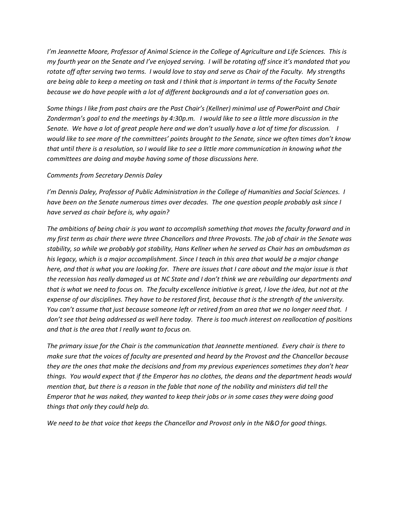*I'm Jeannette Moore, Professor of Animal Science in the College of Agriculture and Life Sciences. This is my fourth year on the Senate and I've enjoyed serving. I will be rotating off since it's mandated that you rotate off after serving two terms. I would love to stay and serve as Chair of the Faculty. My strengths are being able to keep a meeting on task and I think that is important in terms of the Faculty Senate because we do have people with a lot of different backgrounds and a lot of conversation goes on.* 

*Some things I like from past chairs are the Past Chair's (Kellner) minimal use of PowerPoint and Chair Zonderman's goal to end the meetings by 4:30p.m. I would like to see a little more discussion in the Senate. We have a lot of great people here and we don't usually have a lot of time for discussion. I would like to see more of the committees' points brought to the Senate, since we often times don't know that until there is a resolution, so I would like to see a little more communication in knowing what the committees are doing and maybe having some of those discussions here.* 

#### *Comments from Secretary Dennis Daley*

*I'm Dennis Daley, Professor of Public Administration in the College of Humanities and Social Sciences. I have been on the Senate numerous times over decades. The one question people probably ask since I have served as chair before is, why again?* 

*The ambitions of being chair is you want to accomplish something that moves the faculty forward and in my first term as chair there were three Chancellors and three Provosts. The job of chair in the Senate was stability, so while we probably got stability, Hans Kellner when he served as Chair has an ombudsman as his legacy, which is a major accomplishment. Since I teach in this area that would be a major change here, and that is what you are looking for. There are issues that I care about and the major issue is that the recession has really damaged us at NC State and I don't think we are rebuilding our departments and that is what we need to focus on. The faculty excellence initiative is great, I love the idea, but not at the expense of our disciplines. They have to be restored first, because that is the strength of the university. You can't assume that just because someone left or retired from an area that we no longer need that. I don't see that being addressed as well here today. There is too much interest on reallocation of positions and that is the area that I really want to focus on.* 

*The primary issue for the Chair is the communication that Jeannette mentioned. Every chair is there to make sure that the voices of faculty are presented and heard by the Provost and the Chancellor because they are the ones that make the decisions and from my previous experiences sometimes they don't hear things. You would expect that if the Emperor has no clothes, the deans and the department heads would mention that, but there is a reason in the fable that none of the nobility and ministers did tell the Emperor that he was naked, they wanted to keep their jobs or in some cases they were doing good things that only they could help do.* 

*We need to be that voice that keeps the Chancellor and Provost only in the N&O for good things.*